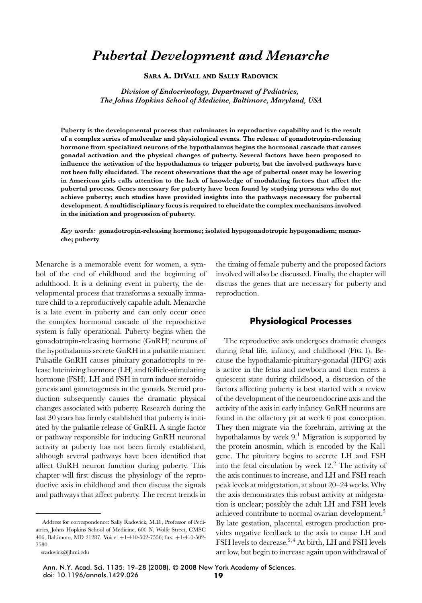# *Pubertal Development and Menarche*

**SARA A. DIVALL AND SALLY RADOVICK**

*Division of Endocrinology, Department of Pediatrics, The Johns Hopkins School of Medicine, Baltimore, Maryland, USA*

**Puberty is the developmental process that culminates in reproductive capability and is the result of a complex series of molecular and physiological events. The release of gonadotropin-releasing hormone from specialized neurons of the hypothalamus begins the hormonal cascade that causes gonadal activation and the physical changes of puberty. Several factors have been proposed to influence the activation of the hypothalamus to trigger puberty, but the involved pathways have not been fully elucidated. The recent observations that the age of pubertal onset may be lowering in American girls calls attention to the lack of knowledge of modulating factors that affect the pubertal process. Genes necessary for puberty have been found by studying persons who do not achieve puberty; such studies have provided insights into the pathways necessary for pubertal development. A multidisciplinary focus is required to elucidate the complex mechanisms involved in the initiation and progression of puberty.**

*Key words:* **gonadotropin-releasing hormone; isolated hypogonadotropic hypogonadism; menarche; puberty**

Menarche is a memorable event for women, a symbol of the end of childhood and the beginning of adulthood. It is a defining event in puberty, the developmental process that transforms a sexually immature child to a reproductively capable adult. Menarche is a late event in puberty and can only occur once the complex hormonal cascade of the reproductive system is fully operational. Puberty begins when the gonadotropin-releasing hormone (GnRH) neurons of the hypothalamus secrete GnRH in a pulsatile manner. Pulsatile GnRH causes pituitary gonadotrophs to release luteinizing hormone (LH) and follicle-stimulating hormone (FSH). LH and FSH in turn induce steroidogenesis and gametogenesis in the gonads. Steroid production subsequently causes the dramatic physical changes associated with puberty. Research during the last 30 years has firmly established that puberty is initiated by the pulsatile release of GnRH. A single factor or pathway responsible for inducing GnRH neuronal activity at puberty has not been firmly established, although several pathways have been identified that affect GnRH neuron function during puberty. This chapter will first discuss the physiology of the reproductive axis in childhood and then discuss the signals and pathways that affect puberty. The recent trends in

the timing of female puberty and the proposed factors involved will also be discussed. Finally, the chapter will discuss the genes that are necessary for puberty and reproduction.

# **Physiological Processes**

The reproductive axis undergoes dramatic changes during fetal life, infancy, and childhood (FIG. 1). Because the hypothalamic-pituitary-gonadal (HPG) axis is active in the fetus and newborn and then enters a quiescent state during childhood, a discussion of the factors affecting puberty is best started with a review of the development of the neuroendocrine axis and the activity of the axis in early infancy. GnRH neurons are found in the olfactory pit at week 6 post conception. They then migrate via the forebrain, arriving at the hypothalamus by week  $9<sup>1</sup>$  Migration is supported by the protein anosmin, which is encoded by the Kal1 gene. The pituitary begins to secrete LH and FSH into the fetal circulation by week  $12<sup>2</sup>$ . The activity of the axis continues to increase, and LH and FSH reach peak levels at midgestation, at about 20–24 weeks. Why the axis demonstrates this robust activity at midgestation is unclear; possibly the adult LH and FSH levels achieved contribute to normal ovarian development.<sup>3</sup> By late gestation, placental estrogen production provides negative feedback to the axis to cause LH and FSH levels to decrease.<sup>2,4</sup> At birth, LH and FSH levels are low, but begin to increase again upon withdrawal of

Address for correspondence: Sally Radovick, M.D., Professor of Pediatrics, Johns Hopkins School of Medicine, 600 N. Wolfe Street, CMSC 406, Baltimore, MD 21287. Voice: +1-410-502-7556; fax: +1-410-502- 7580.

sradovick@jhmi.edu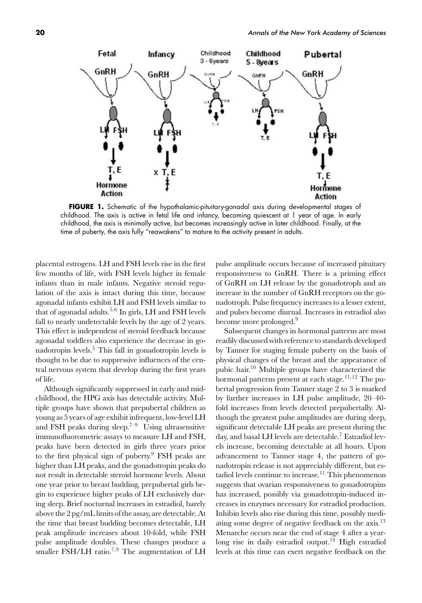

**FIGURE 1.** Schematic of the hypothalamic-pituitary-gonadal axis during developmental stages of childhood. The axis is active in fetal life and infancy, becoming quiescent at 1 year of age. In early childhood, the axis is minimally active, but becomes increasingly active in later childhood. Finally, at the time of puberty, the axis fully "reawakens" to mature to the activity present in adults.

placental estrogens. LH and FSH levels rise in the first few months of life, with FSH levels higher in female infants than in male infants. Negative steroid regulation of the axis is intact during this time, because agonadal infants exhibit LH and FSH levels similar to that of agonadal adults.<sup>5</sup>*,*<sup>6</sup> In girls, LH and FSH levels fall to nearly undetectable levels by the age of 2 years. This effect is independent of steroid feedback because agonadal toddlers also experience the decrease in gonadotropin levels.<sup>5</sup> This fall in gonadotropin levels is thought to be due to suppressive influences of the central nervous system that develop during the first years of life.

Although significantly suppressed in early and midchildhood, the HPG axis has detectable activity. Multiple groups have shown that prepubertal children as young as 5 years of age exhibit infrequent, low-level LH and FSH peaks during sleep.<sup> $7-9$ </sup> Using ultrasensitive immunofluorometric assays to measure LH and FSH, peaks have been detected in girls three years prior to the first physical sign of puberty.<sup>9</sup> FSH peaks are higher than LH peaks, and the gonadotropin peaks do not result in detectable steroid hormone levels. About one year prior to breast budding, prepubertal girls begin to experience higher peaks of LH exclusively during sleep. Brief nocturnal increases in estradiol, barely above the 2 pg/mL limits of the assay, are detectable. At the time that breast budding becomes detectable, LH peak amplitude increases about 10-fold, while FSH pulse amplitude doubles. These changes produce a smaller FSH/LH ratio.<sup>7,9</sup> The augmentation of LH pulse amplitude occurs because of increased pituitary responsiveness to GnRH. There is a priming effect of GnRH on LH release by the gonadotroph and an increase in the number of GnRH receptors on the gonadotroph. Pulse frequency increases to a lesser extent, and pulses become diurnal. Increases in estradiol also become more prolonged.<sup>9</sup>

Subsequent changes in hormonal patterns are most readily discussed with reference to standards developed by Tanner for staging female puberty on the basis of physical changes of the breast and the appearance of pubic hair.<sup>10</sup> Multiple groups have characterized the hormonal patterns present at each stage.<sup>11,12</sup> The pubertal progression from Tanner stage 2 to 3 is marked by further increases in LH pulse amplitude, 20–40 fold increases from levels detected prepubertally. Although the greatest pulse amplitudes are during sleep, significant detectable LH peaks are present during the day, and basal LH levels are detectable.<sup>7</sup> Estradiol levels increase, becoming detectable at all hours. Upon advancement to Tanner stage 4, the pattern of gonadotropin release is not appreciably different, but estadiol levels continue to increase.<sup>11</sup> This phenomenon suggests that ovarian responsiveness to gonadotropins has increased, possibly via gonadotropin-induced increases in enzymes necessary for estradiol production. Inhibin levels also rise during this time, possibly mediating some degree of negative feedback on the axis.<sup>13</sup> Menarche occurs near the end of stage 4 after a yearlong rise in daily estradiol output.<sup>14</sup> High estradiol levels at this time can exert negative feedback on the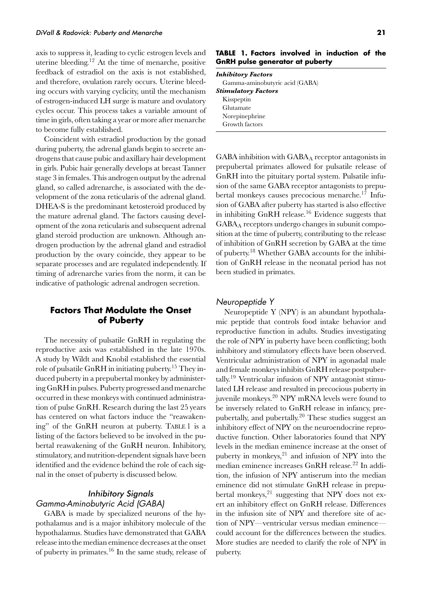axis to suppress it, leading to cyclic estrogen levels and uterine bleeding.<sup>12</sup> At the time of menarche, positive feedback of estradiol on the axis is not established, and therefore, ovulation rarely occurs. Uterine bleeding occurs with varying cyclicity, until the mechanism of estrogen-induced LH surge is mature and ovulatory cycles occur. This process takes a variable amount of time in girls, often taking a year or more after menarche to become fully established.

Coincident with estradiol production by the gonad during puberty, the adrenal glands begin to secrete androgens that cause pubic and axillary hair development in girls. Pubic hair generally develops at breast Tanner stage 3 in females. This androgen output by the adrenal gland, so called adrenarche, is associated with the development of the zona reticularis of the adrenal gland. DHEA-S is the predominant ketosteroid produced by the mature adrenal gland. The factors causing development of the zona reticularis and subsequent adrenal gland steroid production are unknown. Although androgen production by the adrenal gland and estradiol production by the ovary coincide, they appear to be separate processes and are regulated independently. If timing of adrenarche varies from the norm, it can be indicative of pathologic adrenal androgen secretion.

# **Factors That Modulate the Onset of Puberty**

The necessity of pulsatile GnRH in regulating the reproductive axis was established in the late 1970s. A study by Wildt and Knobil established the essential role of pulsatile GnRH in initiating puberty.<sup>15</sup> They induced puberty in a prepubertal monkey by administering GnRH in pulses. Puberty progressed and menarche occurred in these monkeys with continued administration of pulse GnRH. Research during the last 25 years has centered on what factors induce the "reawakening" of the GnRH neuron at puberty. TABLE 1 is a listing of the factors believed to be involved in the pubertal reawakening of the GnRH neuron. Inhibitory, stimulatory, and nutrition-dependent signals have been identified and the evidence behind the role of each signal in the onset of puberty is discussed below.

# Inhibitory Signals Gamma-Aminobutyric Acid (GABA)

GABA is made by specialized neurons of the hypothalamus and is a major inhibitory molecule of the hypothalamus. Studies have demonstrated that GABA release into the median eminence decreases at the onset of puberty in primates.<sup>16</sup> In the same study, release of

#### **TABLE 1. Factors involved in induction of the GnRH pulse generator at puberty**

| <b>Inhibitory Factors</b>      |  |
|--------------------------------|--|
| Gamma-aminobutyric acid (GABA) |  |
| Stimulatory Factors            |  |
| Kisspeptin                     |  |
| Glutamate                      |  |
| Norepinephrine                 |  |
| Growth factors                 |  |
|                                |  |

GABA inhibition with GABAA receptor antagonists in prepubertal primates allowed for pulsatile release of GnRH into the pituitary portal system. Pulsatile infusion of the same GABA receptor antagonists to prepubertal monkeys causes precocious menarche.<sup>17</sup> Infusion of GABA after puberty has started is also effective in inhibiting GnRH release.16 Evidence suggests that GABAA receptors undergo changes in subunit composition at the time of puberty, contributing to the release of inhibition of GnRH secretion by GABA at the time of puberty.<sup>18</sup> Whether GABA accounts for the inhibition of GnRH release in the neonatal period has not been studied in primates.

#### Neuropeptide <sup>Y</sup>

Neuropeptide Y (NPY) is an abundant hypothalamic peptide that controls food intake behavior and reproductive function in adults. Studies investigating the role of NPY in puberty have been conflicting; both inhibitory and stimulatory effects have been observed. Ventricular administration of NPY in agonadal male and female monkeys inhibits GnRH release postpubertally.<sup>19</sup> Ventricular infusion of NPY antagonist stimulated LH release and resulted in precocious puberty in juvenile monkeys.20 NPY mRNA levels were found to be inversely related to GnRH release in infancy, prepubertally, and pubertally.<sup>20</sup> These studies suggest an inhibitory effect of NPY on the neuroendocrine reproductive function. Other laboratories found that NPY levels in the median eminence increase at the onset of puberty in monkeys, $21$  and infusion of NPY into the median eminence increases GnRH release.<sup>22</sup> In addition, the infusion of NPY antiserum into the median eminence did not stimulate GnRH release in prepubertal monkeys, $21$  suggesting that NPY does not exert an inhibitory effect on GnRH release. Differences in the infusion site of NPY and therefore site of action of NPY—ventricular versus median eminence could account for the differences between the studies. More studies are needed to clarify the role of NPY in puberty.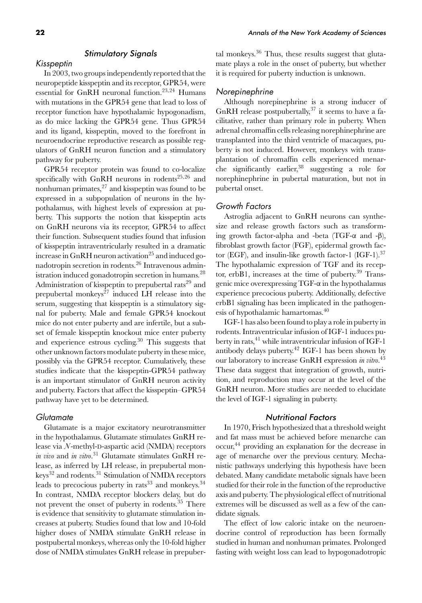#### Stimulatory Signals

### Kisspeptin

In 2003, two groups independently reported that the neuropeptide kisspeptin and its receptor, GPR54, were essential for GnRH neuronal function.23*,*<sup>24</sup> Humans with mutations in the GPR54 gene that lead to loss of receptor function have hypothalamic hypogonadism, as do mice lacking the GPR54 gene. Thus GPR54 and its ligand, kisspeptin, moved to the forefront in neuroendocrine reproductive research as possible regulators of GnRH neuron function and a stimulatory pathway for puberty.

GPR54 receptor protein was found to co-localize specifically with GnRH neurons in rodents<sup>25,26</sup> and nonhuman primates, $27$  and kisspeptin was found to be expressed in a subpopulation of neurons in the hypothalamus, with highest levels of expression at puberty. This supports the notion that kisspeptin acts on GnRH neurons via its receptor, GPR54 to affect their function. Subsequent studies found that infusion of kisspeptin intraventricularly resulted in a dramatic increase in GnRH neuron activation<sup>25</sup> and induced gonadotropin secretion in rodents.<sup>26</sup> Intravenous administration induced gonadotropin secretion in humans.<sup>28</sup> Administration of kisspeptin to prepubertal rats<sup>29</sup> and prepubertal monkeys $^{27}$  induced LH release into the serum, suggesting that kisspeptin is a stimulatory signal for puberty. Male and female GPR54 knockout mice do not enter puberty and are infertile, but a subset of female kisspeptin knockout mice enter puberty and experience estrous cycling.30 This suggests that other unknown factors modulate puberty in these mice, possibly via the GPR54 receptor. Cumulatively, these studies indicate that the kisspeptin-GPR54 pathway is an important stimulator of GnRH neuron activity and puberty. Factors that affect the kisspeptin–GPR54 pathway have yet to be determined.

#### Glutamate

Glutamate is a major excitatory neurotransmitter in the hypothalamus. Glutamate stimulates GnRH release via *N*-methyl-D-aspartic acid (NMDA) receptors *in vivo* and *in vitro*. <sup>31</sup> Glutamate stimulates GnRH release, as inferred by LH release, in prepubertal monkeys<sup>32</sup> and rodents.<sup>31</sup> Stimulation of NMDA receptors leads to precocious puberty in  $rats^{33}$  and monkeys.<sup>34</sup> In contrast, NMDA receptor blockers delay, but do not prevent the onset of puberty in rodents.<sup>35</sup> There is evidence that sensitivity to glutamate stimulation increases at puberty. Studies found that low and 10-fold higher doses of NMDA stimulate GnRH release in postpubertal monkeys, whereas only the 10-fold higher dose of NMDA stimulates GnRH release in prepubertal monkeys.36 Thus, these results suggest that glutamate plays a role in the onset of puberty, but whether it is required for puberty induction is unknown.

## Norepinephrine

Although norepinephrine is a strong inducer of GnRH release postpubertally,<sup>37</sup> it seems to have a facilitative, rather than primary role in puberty. When adrenal chromaffin cells releasing norephinephrine are transplanted into the third ventricle of macaques, puberty is not induced. However, monkeys with transplantation of chromaffin cells experienced menarche significantly earlier,<sup>38</sup> suggesting a role for norephinephrine in pubertal maturation, but not in pubertal onset.

## Growth Factors

Astroglia adjacent to GnRH neurons can synthesize and release growth factors such as transforming growth factor-alpha and -beta (TGF-α and -β), fibroblast growth factor (FGF), epidermal growth factor (EGF), and insulin-like growth factor-1 (IGF-1). $^{37}$ The hypothalamic expression of TGF and its receptor, erbB1, increases at the time of puberty. $39$  Transgenic mice overexpressing TGF-α in the hypothalamus experience precocious puberty. Additionally, defective erbB1 signaling has been implicated in the pathogenesis of hypothalamic hamartomas.<sup>40</sup>

IGF-1 has also been found to play a role in puberty in rodents. Intraventricular infusion of IGF-1 induces puberty in rats,<sup>41</sup> while intraventricular infusion of IGF-1 antibody delays puberty.<sup>42</sup> IGF-1 has been shown by our laboratory to increase GnRH expression *in vitro*. 43 These data suggest that integration of growth, nutrition, and reproduction may occur at the level of the GnRH neuron. More studies are needed to elucidate the level of IGF-1 signaling in puberty.

#### Nutritional Factors

In 1970, Frisch hypothesized that a threshold weight and fat mass must be achieved before menarche can occur,44 providing an explanation for the decrease in age of menarche over the previous century. Mechanistic pathways underlying this hypothesis have been debated. Many candidate metabolic signals have been studied for their role in the function of the reproductive axis and puberty. The physiological effect of nutritional extremes will be discussed as well as a few of the candidate signals.

The effect of low caloric intake on the neuroendocrine control of reproduction has been formally studied in human and nonhuman primates. Prolonged fasting with weight loss can lead to hypogonadotropic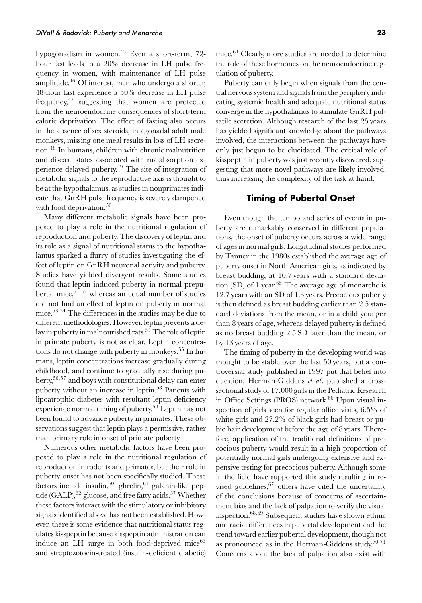hypogonadism in women.45 Even a short-term, 72 hour fast leads to a 20% decrease in LH pulse frequency in women, with maintenance of LH pulse amplitude.<sup>46</sup> Of interest, men who undergo a shorter, 48-hour fast experience a 50% decrease in LH pulse frequency,47 suggesting that women are protected from the neuroendocrine consequences of short-term caloric deprivation. The effect of fasting also occurs in the absence of sex steroids; in agonadal adult male monkeys, missing one meal results in loss of LH secretion.<sup>48</sup> In humans, children with chronic malnutrition and disease states associated with malabsorption experience delayed puberty.<sup>49</sup> The site of integration of metabolic signals to the reproductive axis is thought to be at the hypothalamus, as studies in nonprimates indicate that GnRH pulse frequency is severely dampened with food deprivation.<sup>50</sup>

Many different metabolic signals have been proposed to play a role in the nutritional regulation of reproduction and puberty. The discovery of leptin and its role as a signal of nutritional status to the hypothalamus sparked a flurry of studies investigating the effect of leptin on GnRH neuronal activity and puberty. Studies have yielded divergent results. Some studies found that leptin induced puberty in normal prepubertal mice,<sup>51</sup>*,*<sup>52</sup> whereas an equal number of studies did not find an effect of leptin on puberty in normal mice.<sup>53</sup>*,*<sup>54</sup> The differences in the studies may be due to different methodologies. However, leptin prevents a delay in puberty in malnourished rats.54 The role of leptin in primate puberty is not as clear. Leptin concentrations do not change with puberty in monkeys.<sup>55</sup> In humans, leptin concentrations increase gradually during childhood, and continue to gradually rise during puberty,<sup>56</sup>*,*<sup>57</sup> and boys with constitutional delay can enter puberty without an increase in leptin.58 Patients with lipoatrophic diabetes with resultant leptin deficiency experience normal timing of puberty.<sup>59</sup> Leptin has not been found to advance puberty in primates. These observations suggest that leptin plays a permissive, rather than primary role in onset of primate puberty.

Numerous other metabolic factors have been proposed to play a role in the nutritional regulation of reproduction in rodents and primates, but their role in puberty onset has not been specifically studied. These factors include insulin,<sup>60</sup>, ghrelin,<sup>61</sup> galanin-like peptide (GALP),  $62$  glucose, and free fatty acids.<sup>37</sup> Whether these factors interact with the stimulatory or inhibitory signals identified above has not been established. However, there is some evidence that nutritional status regulates kisspeptin because kisspeptin administration can induce an LH surge in both food-deprived mice $63$ and streptozotocin-treated (insulin-deficient diabetic)

mice.<sup>64</sup> Clearly, more studies are needed to determine the role of these hormones on the neuroendocrine regulation of puberty.

Puberty can only begin when signals from the central nervous system and signals from the periphery indicating systemic health and adequate nutritional status converge in the hypothalamus to stimulate GnRH pulsatile secretion. Although research of the last 25 years has yielded significant knowledge about the pathways involved, the interactions between the pathways have only just begun to be elucidated. The critical role of kisspeptin in puberty was just recently discovered, suggesting that more novel pathways are likely involved, thus increasing the complexity of the task at hand.

# **Timing of Pubertal Onset**

Even though the tempo and series of events in puberty are remarkably conserved in different populations, the onset of puberty occurs across a wide range of ages in normal girls. Longitudinal studies performed by Tanner in the 1980s established the average age of puberty onset in North American girls, as indicated by breast budding, at 10.7 years with a standard deviation  $(SD)$  of 1 year.<sup>65</sup> The average age of menarche is 12.7 years with an SD of 1.3 years. Precocious puberty is then defined as breast budding earlier than 2.5 standard deviations from the mean, or in a child younger than 8 years of age, whereas delayed puberty is defined as no breast budding 2.5 SD later than the mean, or by 13 years of age.

The timing of puberty in the developing world was thought to be stable over the last 50 years, but a controversial study published in 1997 put that belief into question. Herman-Giddens *et al*. published a crosssectional study of 17,000 girls in the Pediatric Research in Office Settings (PROS) network.<sup>66</sup> Upon visual inspection of girls seen for regular office visits, 6.5% of white girls and 27.2% of black girls had breast or pubic hair development before the age of 8 years. Therefore, application of the traditional definitions of precocious puberty would result in a high proportion of potentially normal girls undergoing extensive and expensive testing for precocious puberty. Although some in the field have supported this study resulting in revised guidelines,  $67$  others have cited the uncertainty of the conclusions because of concerns of ascertainment bias and the lack of palpation to verify the visual inspection.68*,*<sup>69</sup> Subsequent studies have shown ethnic and racial differences in pubertal development and the trend toward earlier pubertal development, though not as pronounced as in the Herman-Giddens study.70*,*<sup>71</sup> Concerns about the lack of palpation also exist with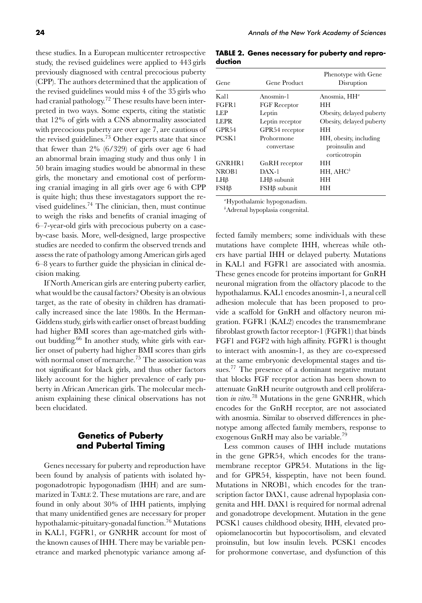these studies. In a European multicenter retrospective study, the revised guidelines were applied to 443 girls previously diagnosed with central precocious puberty (CPP). The authors determined that the application of the revised guidelines would miss 4 of the 35 girls who had cranial pathology.<sup>72</sup> These results have been interpreted in two ways. Some experts, citing the statistic that 12% of girls with a CNS abnormality associated with precocious puberty are over age 7, are cautious of the revised guidelines.<sup>73</sup> Other experts state that since that fewer than 2% (6/329) of girls over age 6 had an abnormal brain imaging study and thus only 1 in 50 brain imaging studies would be abnormal in these girls, the monetary and emotional cost of performing cranial imaging in all girls over age 6 with CPP is quite high; thus these investagators support the revised guidelines.74 The clinician, then, must continue to weigh the risks and benefits of cranial imaging of 6–7-year-old girls with precocious puberty on a caseby-case basis. More, well-designed, large prospective studies are needed to confirm the observed trends and assess the rate of pathology among American girls aged 6–8 years to further guide the physician in clinical decision making.

If North American girls are entering puberty earlier, what would be the causal factors? Obesity is an obvious target, as the rate of obesity in children has dramatically increased since the late 1980s. In the Herman-Giddens study, girls with earlier onset of breast budding had higher BMI scores than age-matched girls without budding.<sup>66</sup> In another study, white girls with earlier onset of puberty had higher BMI scores than girls with normal onset of menarche.<sup>75</sup> The association was not significant for black girls, and thus other factors likely account for the higher prevalence of early puberty in African American girls. The molecular mechanism explaining these clinical observations has not been elucidated.

# **Genetics of Puberty and Pubertal Timing**

Genes necessary for puberty and reproduction have been found by analysis of patients with isolated hypogonadotropic hypogonadism (IHH) and are summarized in TABLE 2. These mutations are rare, and are found in only about 30% of IHH patients, implying that many unidentified genes are necessary for proper hypothalamic-pituitary-gonadal function.<sup>76</sup> Mutations in KAL1, FGFR1, or GNRHR account for most of the known causes of IHH. There may be variable penetrance and marked phenotypic variance among af-

Phenotype with Gene Gene Gene Product Disruption Kal1 Anosmin-1 Anosmia, HH*<sup>a</sup>* FGFR1 FGF Receptor HH LEP Leptin Obesity, delayed puberty LEPR Leptin receptor Obesity, delayed puberty GPR54 GPR54 receptor HH PCSK1 Prohormone HH, obesity, including convertase proinsulin and corticotropin GNRHR1 GnRH receptor HH NROB1 DAX-1 HH, AHC<sup>b</sup> LHβ LHβ subunit HH FSHβ FSHβ subunit HH

**TABLE 2. Genes necessary for puberty and reproduction**

*a* Hypothalamic hypogonadism.

*b* Adrenal hypoplasia congenital.

fected family members; some individuals with these mutations have complete IHH, whereas while others have partial IHH or delayed puberty. Mutations in KAL1 and FGFR1 are associated with anosmia. These genes encode for proteins important for GnRH neuronal migration from the olfactory placode to the hypothalamus. KAL1 encodes anosmin-1, a neural cell adhesion molecule that has been proposed to provide a scaffold for GnRH and olfactory neuron migration. FGFR1 (KAL2) encodes the transmembrane fibroblast growth factor receptor-1 (FGFR1) that binds FGF1 and FGF2 with high affinity. FGFR1 is thought to interact with anosmin-1, as they are co-expressed at the same embryonic developmental stages and tissues.<sup>77</sup> The presence of a dominant negative mutant that blocks FGF receptor action has been shown to attenuate GnRH neurite outgrowth and cell proliferation *in vitro*. <sup>78</sup> Mutations in the gene GNRHR, which encodes for the GnRH receptor, are not associated with anosmia. Similar to observed differences in phenotype among affected family members, response to exogenous GnRH may also be variable.<sup>79</sup>

Less common causes of IHH include mutations in the gene GPR54, which encodes for the transmembrane receptor GPR54. Mutations in the ligand for GPR54, kisspeptin, have not been found. Mutations in NROB1, which encodes for the transcription factor DAX1, cause adrenal hypoplasia congenita and HH. DAX1 is required for normal adrenal and gonadotrope development. Mutation in the gene PCSK1 causes childhood obesity, IHH, elevated proopiomelanocortin but hypocortisolism, and elevated proinsulin, but low insulin levels. PCSK1 encodes for prohormone convertase, and dysfunction of this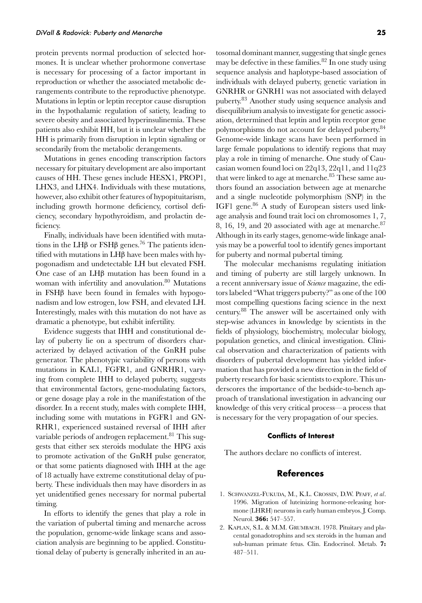protein prevents normal production of selected hormones. It is unclear whether prohormone convertase is necessary for processing of a factor important in reproduction or whether the associated metabolic derangements contribute to the reproductive phenotype. Mutations in leptin or leptin receptor cause disruption in the hypothalamic regulation of satiety, leading to severe obesity and associated hyperinsulinemia. These patients also exhibit HH, but it is unclear whether the HH is primarily from disruption in leptin signaling or secondarily from the metabolic derangements.

Mutations in genes encoding transcription factors necessary for pituitary development are also important causes of HH. These genes include HESX1, PROP1, LHX3, and LHX4. Individuals with these mutations, however, also exhibit other features of hypopituitarism, including growth hormone deficiency, cortisol deficiency, secondary hypothyroidism, and prolactin deficiency.

Finally, individuals have been identified with mutations in the LH $\beta$  or FSH $\beta$  genes.<sup>76</sup> The patients identified with mutations in LHβ have been males with hypogonadism and undetectable LH but elevated FSH. One case of an LHβ mutation has been found in a woman with infertility and anovulation.<sup>80</sup> Mutations in FSHβ have been found in females with hypogonadism and low estrogen, low FSH, and elevated LH. Interestingly, males with this mutation do not have as dramatic a phenotype, but exhibit infertility.

Evidence suggests that IHH and constitutional delay of puberty lie on a spectrum of disorders characterized by delayed activation of the GnRH pulse generator. The phenotypic variability of persons with mutations in KAL1, FGFR1, and GNRHR1, varying from complete IHH to delayed puberty, suggests that environmental factors, gene-modulating factors, or gene dosage play a role in the manifestation of the disorder. In a recent study, males with complete IHH, including some with mutations in FGFR1 and GN-RHR1, experienced sustained reversal of IHH after variable periods of androgen replacement. $81$  This suggests that either sex steroids modulate the HPG axis to promote activation of the GnRH pulse generator, or that some patients diagnosed with IHH at the age of 18 actually have extreme constitutional delay of puberty. These individuals then may have disorders in as yet unidentified genes necessary for normal pubertal timing.

In efforts to identify the genes that play a role in the variation of pubertal timing and menarche across the population, genome-wide linkage scans and association analysis are beginning to be applied. Constitutional delay of puberty is generally inherited in an autosomal dominant manner, suggesting that single genes may be defective in these families. $82$  In one study using sequence analysis and haplotype-based association of individuals with delayed puberty, genetic variation in GNRHR or GNRH1 was not associated with delayed puberty.<sup>83</sup> Another study using sequence analysis and disequilibrium analysis to investigate for genetic association, determined that leptin and leptin receptor gene polymorphisms do not account for delayed puberty.<sup>84</sup> Genome-wide linkage scans have been performed in large female populations to identify regions that may play a role in timing of menarche. One study of Caucasian women found loci on 22q13, 22q11, and 11q23 that were linked to age at menarche.<sup>85</sup> These same authors found an association between age at menarche and a single nucleotide polymorphism (SNP) in the IGF1 gene.<sup>86</sup> A study of European sisters used linkage analysis and found trait loci on chromosomes 1, 7, 8, 16, 19, and 20 associated with age at menarche. $87$ Although in its early stages, genome-wide linkage analysis may be a powerful tool to identify genes important for puberty and normal pubertal timing.

The molecular mechanisms regulating initiation and timing of puberty are still largely unknown. In a recent anniversary issue of *Science* magazine, the editors labeled "What triggers puberty?" as one of the 100 most compelling questions facing science in the next century.<sup>88</sup> The answer will be ascertained only with step-wise advances in knowledge by scientists in the fields of physiology, biochemistry, molecular biology, population genetics, and clinical investigation. Clinical observation and characterization of patients with disorders of pubertal development has yielded information that has provided a new direction in the field of puberty research for basic scientists to explore. This underscores the importance of the bedside-to-bench approach of translational investigation in advancing our knowledge of this very critical process—a process that is necessary for the very propagation of our species.

#### **Conflicts of Interest**

The authors declare no conflicts of interest.

# **References**

- 1. SCHWANZEL-FUKUDA, M., K.L. CROSSIN, D.W. PFAFF, *et al*. 1996. Migration of luteinizing hormone-releasing hormone (LHRH) neurons in early human embryos. J. Comp. Neurol. **366:** 547–557.
- 2. KAPLAN, S.L. & M.M. GRUMBACH. 1978. Pituitary and placental gonadotrophins and sex steroids in the human and sub-human primate fetus. Clin. Endocrinol. Metab. **7:** 487–511.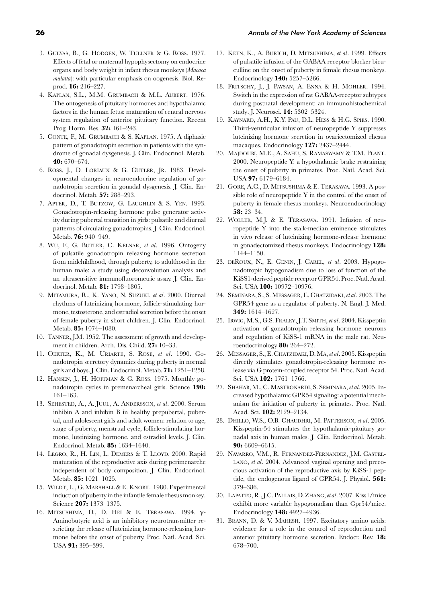- 3. GULYAS, B., G. HODGEN, W. TULLNER & G. ROSS. 1977. Effects of fetal or maternal hypophysectomy on endocrine organs and body weight in infant rhesus monkeys (*Macaca mulatta*): with particular emphasis on oogenesis. Biol. Reprod. **16:** 216–227.
- 4. KAPLAN, S.L., M.M. GRUMBACH & M.L. AUBERT. 1976. The ontogenesis of pituitary hormones and hypothalamic factors in the human fetus: maturation of central nervous system regulation of anterior pituitary function. Recent Prog. Horm. Res. **32:** 161–243.
- 5. CONTE, F., M. GRUMBACH & S. KAPLAN. 1975. A diphasic pattern of gonadotropin secretion in patients with the syndrome of gonadal dysgenesis. J. Clin. Endocrinol. Metab. **40:** 670–674.
- 6. ROSS, J., D. LORIAUX & G. CUTLER, JR. 1983. Developmental changes in neuroendocrine regulation of gonadotropin secretion in gonadal dysgenesis. J. Clin. Endocrinol. Metab. **57:** 288–293.
- 7. APTER, D., T. BUTZOW, G. LAUGHLIN & S. YEN. 1993. Gonadotropin-releasing hormone pulse generator activity during pubertal transition in girls: pulsatile and diurnal patterns of circulating gonadotropins. J. Clin. Endocrinol. Metab. **76:** 940–949.
- 8. WU, F., G. BUTLER, C. KELNAR, *et al*. 1996. Ontogeny of pulsatile gonadotropin releasing hormone secretion from midchildhood, through puberty, to adulthood in the human male: a study using deconvolution analysis and an ultrasensitive immunofluorometric assay. J. Clin. Endocrinol. Metab. **81:** 1798–1805.
- 9. MITAMURA, R., K. YANO, N. SUZUKI, *et al*. 2000. Diurnal rhythms of luteinizing hormone, follicle-stimulating hormone, testosterone, and estradiol secretion before the onset of female puberty in short children. J. Clin. Endocrinol. Metab. **85:** 1074–1080.
- 10. TANNER, J.M. 1952. The assessment of growth and development in children. Arch. Dis. Child. **27:** 10–33.
- 11. OERTER, K., M. URIARTE, S. ROSE, *et al*. 1990. Gonadotropin secretory dynamics during puberty in normal girls and boys. J. Clin. Endocrinol. Metab. **71:** 1251–1258.
- 12. HANSEN, J., H. HOFFMAN & G. ROSS. 1975. Monthly gonadotropin cycles in premenarcheal girls. Science **190:** 161–163.
- 13. SEHESTED, A., A. JUUL, A. ANDERSSON, *et al*. 2000. Serum inhibin A and inhibin B in healthy prepubertal, pubertal, and adolescent girls and adult women: relation to age, stage of puberty, menstrual cycle, follicle-stimulating hormone, luteinizing hormone, and estradiol levels. J. Clin. Endocrinol. Metab. **85:** 1634–1640.
- 14. LEGRO, R., H. LIN, L. DEMERS & T. LLOYD. 2000. Rapid maturation of the reproductive axis during perimenarche independent of body composition. J. Clin. Endocrinol. Metab. **85:** 1021–1025.
- 15. WILDT, L., G. MARSHALL & E. KNOBIL. 1980. Experimental induction of puberty in the infantile female rhesus monkey. Science **207:** 1373–1375.
- 16. MITSUSHIMA, D., D. HEI & E. TERASAWA. 1994. γ-Aminobutyric acid is an inhibitory neurotransmitter restricting the release of luteinizing hormone-releasing hormone before the onset of puberty. Proc. Natl. Acad. Sci. USA **91:** 395–399.
- 17. KEEN, K., A. BURICH, D. MITSUSHIMA, *et al*. 1999. Effects of pulsatile infusion of the GABAA receptor blocker bicuculline on the onset of puberty in female rhesus monkeys. Endocrinology **140:** 5257–5266.
- 18. FRITSCHY, J., J. PAYSAN, A. ENNA & H. MOHLER. 1994. Switch in the expression of rat GABAA-receptor subtypes during postnatal development: an immunohistochemical study. J. Neurosci. **14:** 5302–5324.
- 19. KAYNARD, A.H., K.Y. PAU, D.L. HESS & H.G. SPIES. 1990. Third-ventricular infusion of neuropeptide Y suppresses luteinizing hormone secretion in ovariectomized rhesus macaques. Endocrinology **127:** 2437–2444.
- 20. MAJDOUBI, M.E., A. SAHU, S. RAMASWAMY & T.M. PLANT. 2000. Neuropeptide Y: a hypothalamic brake restraining the onset of puberty in primates. Proc. Natl. Acad. Sci. USA **97:** 6179–6184.
- 21. GORE, A.C., D. MITSUSHIMA & E. TERASAWA. 1993. A possible role of neuropeptide Y in the control of the onset of puberty in female rhesus monkeys. Neuroendocrinology **58:** 23–34.
- 22. WOLLER, M.J. & E. TERASAWA. 1991. Infusion of neuropeptide Y into the stalk-median eminence stimulates in vivo release of luteinizing hormone-release hormone in gonadectomized rhesus monkeys. Endocrinology **128:** 1144–1150.
- 23. DEROUX, N., E. GENIN, J. CAREL, *et al*. 2003. Hypogonadotropic hypogonadism due to loss of function of the KiSS1-derived peptide receptor GPR54. Proc. Natl. Acad. Sci. USA **100:** 10972–10976.
- 24. SEMINARA, S., S. MESSAGER, E. CHATZIDAKI, *et al*. 2003. The GPR54 gene as a regulator of puberty. N. Engl. J. Med. **349:** 1614–1627.
- 25. IRWIG, M.S., G.S. FRALEY, J.T. SMITH, *et al*. 2004. Kisspeptin activation of gonadotropin releasing hormone neurons and regulation of KiSS-1 mRNA in the male rat. Neuroendocrinology **80:** 264–272.
- 26. MESSAGER, S., E. CHATZIDAKI, D. MA, *et al*. 2005. Kisspeptin directly stimulates gonadotropin-releasing hormone release via G protein-coupled receptor 54. Proc. Natl. Acad. Sci. USA **102:** 1761–1766.
- 27. SHAHAB, M., C. MASTRONARDI, S. SEMINARA, *et al*. 2005. Increased hypothalamic GPR54 signaling: a potential mechanism for initiation of puberty in primates. Proc. Natl. Acad. Sci. **102:** 2129–2134.
- 28. DHILLO, W.S., O.B. CHAUDHRI, M. PATTERSON, *et al*. 2005. Kisspeptin-54 stimulates the hypothalamic-pituitary gonadal axis in human males. J. Clin. Endocrinol. Metab. **90:** 6609–6615.
- 29. NAVARRO, V.M., R. FERNANDEZ-FERNANDEZ, J.M. CASTEL-LANO, *et al*. 2004. Advanced vaginal opening and precocious activation of the reproductive axis by KiSS-1 peptide, the endogenous ligand of GPR54. J. Physiol. **561:** 379–386.
- 30. LAPATTO, R., J.C. PALLAIS, D. ZHANG,*et al*. 2007. Kiss1/mice exhibit more variable hypogonadism than Gpr54/mice. Endocrinology **148:** 4927–4936.
- 31. BRANN, D. & V. MAHESH. 1997. Excitatory amino acids: evidence for a role in the control of reproduction and anterior pituitary hormone secretion. Endocr. Rev. **18:** 678–700.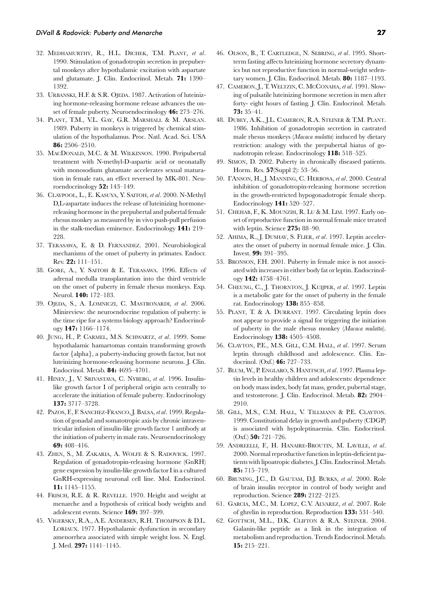- 32. MEDHAMURTHY, R., H.L. DICHEK, T.M. PLANT, *et al*. 1990. Stimulation of gonadotropin secretion in prepubertal monkeys after hypothalamic excitation with aspartate and glutamate. J. Clin. Endocrinol. Metab. **71:** 1390– 1392.
- 33. URBANSKI, H.F. & S.R. OJEDA. 1987. Activation of luteinizing hormone-releasing hormone release advances the onset of female puberty. Neuroendocrinology **46:** 273–276.
- 34. PLANT, T.M., V.L. GAY, G.R. MARSHALL & M. ARSLAN. 1989. Puberty in monkeys is triggered by chemical stimulation of the hypothalamus. Proc. Natl. Acad. Sci. USA **86:** 2506–2510.
- 35. MACDONALD, M.C. & M. WILKINSON. 1990. Peripubertal treatment with N-methyl-D-aspartic acid or neonatally with monosodium glutamate accelerates sexual maturation in female rats, an effect reversed by MK-801. Neuroendocrinology **52:** 143–149.
- 36. CLAYPOOL, L., E. KASUYA, Y. SAITOH, *et al*. 2000. N-Methyl D,L-aspartate induces the release of luteinizing hormonereleasing hormone in the prepubertal and pubertal female rhesus monkey as measured by in vivo push-pull perfusion in the stalk-median eminence. Endocrinology **141:** 219– 228.
- 37. TERASAWA, E. & D. FERNANDEZ. 2001. Neurobiological mechanisms of the onset of puberty in primates. Endocr. Rev. **22:** 111–151.
- 38. GORE, A., Y. SAITOH & E. TERASAWA. 1996. Effects of adrenal medulla transplantation into the third ventricle on the onset of puberty in female rhesus monkeys. Exp. Neurol. **140:** 172–183.
- 39. OJEDA, S., A. LOMNICZI, C. MASTRONARDI, *et al*. 2006. Minireview: the neuroendocrine regulation of puberty: is the time ripe for a systems biology approach? Endocrinology **147:** 1166–1174.
- 40. JUNG, H., P. CARMEL, M.S. SCHWARTZ, *et al*. 1999. Some hypothalamic hamartomas contain transforming growth factor {alpha}, a puberty-inducing growth factor, but not luteinizing hormone-releasing hormone neurons. J. Clin. Endocrinol. Metab. **84:** 4695–4701.
- 41. HINEY, J., V. SRIVASTAVA, C. NYBERG, *et al*. 1996. Insulinlike growth factor I of peripheral origin acts centrally to accelerate the initiation of female puberty. Endocrinology **137:** 3717–3728.
- 42. PAZOS, F., F. SANCHEZ-FRANCO, J. BALSA, *et al*. 1999. Regulation of gonadal and somatotropic axis by chronic intraventricular infusion of insulin-like growth factor 1 antibody at the initiation of puberty in male rats. Neuroendocrinology **69:** 408–416.
- 43. ZHEN, S., M. ZAKARIA, A. WOLFE & S. RADOVICK. 1997. Regulation of gonadotropin-releasing hormone (GnRH) gene expression by insulin-like growth factor I in a cultured GnRH-expressing neuronal cell line. Mol. Endocrinol. **11:** 1145–1155.
- 44. FRISCH, R.E. & R. REVELLE. 1970. Height and weight at menarche and a hypothesis of critical body weights and adolescent events. Science **169:** 397–399.
- 45. VIGERSKY, R.A., A.E. ANDERSEN, R.H. THOMPSON & D.L. LORIAUX. 1977. Hypothalamic dysfunction in secondary amenorrhea associated with simple weight loss. N. Engl. J. Med. **297:** 1141–1145.
- 46. OLSON, B., T. CARTLEDGE, N. SEBRING, *et al*. 1995. Shortterm fasting affects luteinizing hormone secretory dynamics but not reproductive function in normal-weight sedentary women. J. Clin. Endocrinol. Metab. **80:** 1187–1193.
- 47. CAMERON, J., T. WELTZIN, C. MCCONAHA, *et al*. 1991. Slowing of pulsatile luteinizing hormone secretion in men after forty- eight hours of fasting. J. Clin. Endocrinol. Metab. **73:** 35–41.
- 48. DUBEY, A.K., J.L. CAMERON, R.A. STEINER & T.M. PLANT. 1986. Inhibition of gonadotropin secretion in castrated male rhesus monkeys (*Macaca mulatta*) induced by dietary restriction: analogy with the prepubertal hiatus of gonadotropin release. Endocrinology **118:** 518–525.
- 49. SIMON, D. 2002. Puberty in chronically diseased patients. Horm. Res. **57**(Suppl 2): 53–56.
- 50. I'ANSON, H., J. MANNING, C. HERBOSA, *et al*. 2000. Central inhibition of gonadotropin-releasing hormone secretion in the growth-restricted hypogonadotropic female sheep. Endocrinology **141:** 520–527.
- 51. CHEHAB, F., K. MOUNZIH, R. LU & M. LIM. 1997. Early onset of reproductive function in normal female mice treated with leptin. Science **275:** 88–90.
- 52. AHIMA, R., J. DUSHAY, S. FLIER, *et al*. 1997. Leptin accelerates the onset of puberty in normal female mice. J. Clin. Invest. **99:** 391–395.
- 53. BRONSON, F.H. 2001. Puberty in female mice is not associated with increases in either body fat or leptin. Endocrinology **142:** 4758–4761.
- 54. CHEUNG, C., J. THORNTON, J. KUIJPER, *et al*. 1997. Leptin is a metabolic gate for the onset of puberty in the female rat. Endocrinology **138:** 855–858.
- 55. PLANT, T. & A. DURRANT. 1997. Circulating leptin does not appear to provide a signal for triggering the initiation of puberty in the male rhesus monkey (*Macaca mulatta*). Endocrinology **138:** 4505–4508.
- 56. CLAYTON, P.E., M.S. GILL, C.M. HALL, *et al*. 1997. Serum leptin through childhood and adolescence. Clin. Endocrinol. (Oxf.) **46:** 727–733.
- 57. BLUM, W., P. ENGLARO, S. HANITSCH, *et al*. 1997. Plasma leptin levels in healthy children and adolescents: dependence on body mass index, body fat mass, gender, pubertal stage, and testosterone. J. Clin. Endocrinol. Metab. **82:** 2904– 2910.
- 58. GILL, M.S., C.M. HALL, V. TILLMANN & P.E. CLAYTON. 1999. Constitutional delay in growth and puberty (CDGP) is associated with hypoleptinaemia. Clin. Endocrinol. (Oxf.) **50:** 721–726.
- 59. ANDREELLI, F., H. HANAIRE-BROUTIN, M. LAVILLE, *et al*. 2000. Normal reproductive function in leptin-deficient patients with lipoatropic diabetes. J. Clin. Endocrinol.Metab. **85:** 715–719.
- 60. BRUNING, J.C., D. GAUTAM, D.J. BURKS, *et al*. 2000. Role of brain insulin receptor in control of body weight and reproduction. Science **289:** 2122–2125.
- 61. GARCIA, M.C., M. LOPEZ, C.V. ALVAREZ, *et al*. 2007. Role of ghrelin in reproduction. Reproduction **133:** 531–540.
- 62. GOTTSCH, M.L., D.K. CLIFTON & R.A. STEINER. 2004. Galanin-like peptide as a link in the integration of metabolism and reproduction. Trends Endocrinol. Metab. **15:** 215–221.